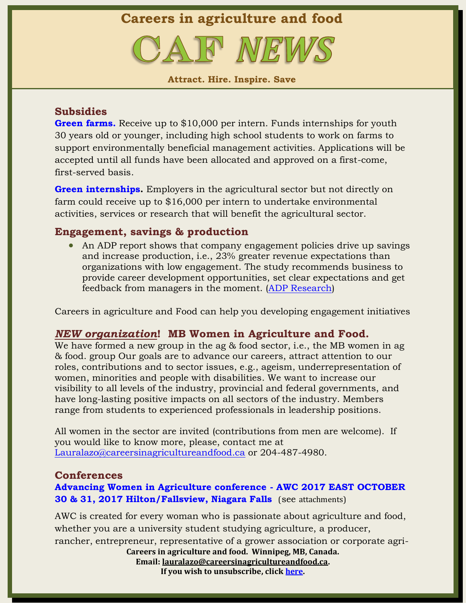**Careers in agriculture and food**

**Attract. Hire. Inspire. Save**

## **Subsidies**

**[Green farms.](http://www.agr.gc.ca/eng/programs-and-services/list-of-programs-and-services/agricultural-youth-green-jobs-initiative/green-farms-stream/?id=1459879871410)** Receive up to \$10,000 per intern. Funds internships for youth 30 years old or younger, including high school students to work on farms to support environmentally beneficial management activities. Applications will be accepted until all funds have been allocated and approved on a first-come, first-served basis.

**[Green internships.](http://www.agr.gc.ca/eng/programs-and-services/list-of-programs-and-services/agricultural-youth-green-jobs-initiative/green-internships-stream/5-more-information-about-this-service/?id=1459892476703#a1)** Employers in the agricultural sector but not directly on farm could receive up to \$16,000 per intern to undertake environmental activities, services or research that will benefit the agricultural sector.

## **Engagement, savings & production**

• An ADP report shows that company engagement policies drive up savings and increase production, i.e., 23% greater revenue expectations than organizations with low engagement. The study recommends business to provide career development opportunities, set clear expectations and get feedback from managers in the moment. [\(ADP Research\)](https://www.adp.com/tools-and-resources/adp-research-institute/insights/-/media/RI/whitepapers/Employee%20Engagement%20vs%20Employee%20Satisfaction%20White%20Paper.ashx)

Careers in agriculture and Food can help you developing engagement initiatives

### *NEW organization***! MB Women in Agriculture and Food.**

We have formed a new group in the ag & food sector, i.e., the MB women in ag & food. group Our goals are to advance our careers, attract attention to our roles, contributions and to sector issues, e.g., ageism, underrepresentation of women, minorities and people with disabilities. We want to increase our visibility to all levels of the industry, provincial and federal governments, and have long-lasting positive impacts on all sectors of the industry. Members range from students to experienced professionals in leadership positions.

All women in the sector are invited (contributions from men are welcome). If you would like to know more, please, contact me at [Lauralazo@careersinagricultureandfood.ca](mailto:Lauralazo@careersinagricultureandfood.ca) or 204-487-4980.

### **Conferences**

# **[Advancing Women in Agriculture conference -](http://www.advancingwomenconference.ca/2017east/) AWC 2017 EAST OCTOBER [30 & 31, 2017 Hilton/Fallsview, Niagara Falls](http://www.advancingwomenconference.ca/2017east/)** (see attachments)

**Careers in agriculture and food. Winnipeg, MB, Canada. Email: [lauralazo@careersinagricultureandfood.ca.](mailto:lauralazo@careersinagricultureandfood.ca)** AWC is created for every woman who is passionate about agriculture and food, whether you are a university student studying agriculture, a producer, rancher, entrepreneur, representative of a grower association or corporate agri-

**If you wish to unsubscribe, click [here.](mailto:lauralazo@careersinagricultureandfood.ca)**